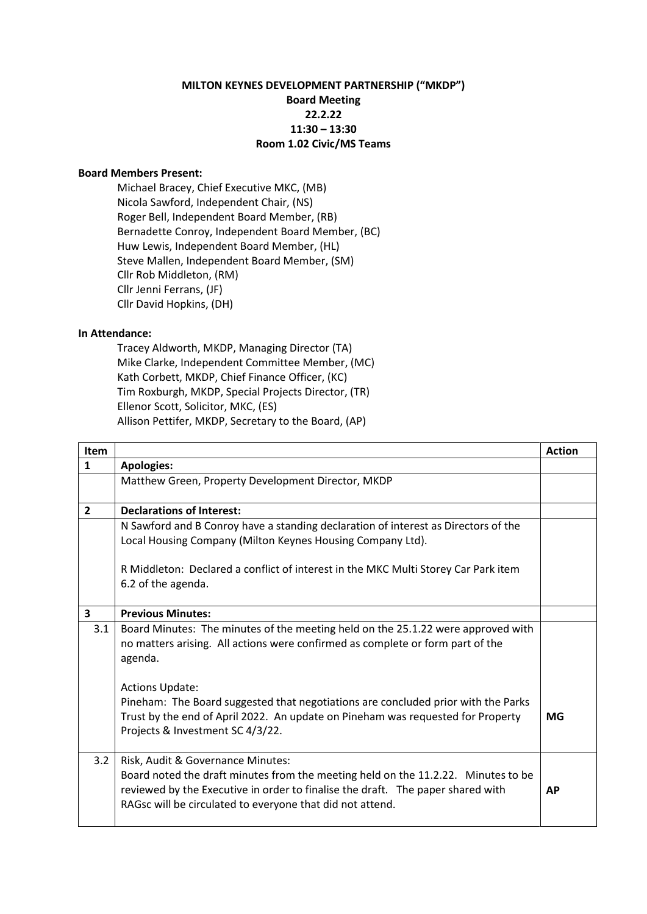## **MILTON KEYNES DEVELOPMENT PARTNERSHIP ("MKDP") Board Meeting 22.2.22 11:30 – 13:30 Room 1.02 Civic/MS Teams**

## **Board Members Present:**

Michael Bracey, Chief Executive MKC, (MB) Nicola Sawford, Independent Chair, (NS) Roger Bell, Independent Board Member, (RB) Bernadette Conroy, Independent Board Member, (BC) Huw Lewis, Independent Board Member, (HL) Steve Mallen, Independent Board Member, (SM) Cllr Rob Middleton, (RM) Cllr Jenni Ferrans, (JF) Cllr David Hopkins, (DH)

## **In Attendance:**

Tracey Aldworth, MKDP, Managing Director (TA) Mike Clarke, Independent Committee Member, (MC) Kath Corbett, MKDP, Chief Finance Officer, (KC) Tim Roxburgh, MKDP, Special Projects Director, (TR) Ellenor Scott, Solicitor, MKC, (ES) Allison Pettifer, MKDP, Secretary to the Board, (AP)

| Item           |                                                                                                                                                                                                                                                                        | <b>Action</b> |
|----------------|------------------------------------------------------------------------------------------------------------------------------------------------------------------------------------------------------------------------------------------------------------------------|---------------|
| $\mathbf{1}$   | <b>Apologies:</b>                                                                                                                                                                                                                                                      |               |
|                | Matthew Green, Property Development Director, MKDP                                                                                                                                                                                                                     |               |
|                |                                                                                                                                                                                                                                                                        |               |
| $\overline{2}$ | <b>Declarations of Interest:</b>                                                                                                                                                                                                                                       |               |
|                | N Sawford and B Conroy have a standing declaration of interest as Directors of the                                                                                                                                                                                     |               |
|                | Local Housing Company (Milton Keynes Housing Company Ltd).                                                                                                                                                                                                             |               |
|                | R Middleton: Declared a conflict of interest in the MKC Multi Storey Car Park item<br>6.2 of the agenda.                                                                                                                                                               |               |
| 3              | <b>Previous Minutes:</b>                                                                                                                                                                                                                                               |               |
| 3.1            | Board Minutes: The minutes of the meeting held on the 25.1.22 were approved with<br>no matters arising. All actions were confirmed as complete or form part of the<br>agenda.                                                                                          |               |
|                | <b>Actions Update:</b><br>Pineham: The Board suggested that negotiations are concluded prior with the Parks<br>Trust by the end of April 2022. An update on Pineham was requested for Property<br>Projects & Investment SC 4/3/22.                                     | MG            |
| 3.2            | Risk, Audit & Governance Minutes:<br>Board noted the draft minutes from the meeting held on the 11.2.22. Minutes to be<br>reviewed by the Executive in order to finalise the draft. The paper shared with<br>RAGsc will be circulated to everyone that did not attend. | <b>AP</b>     |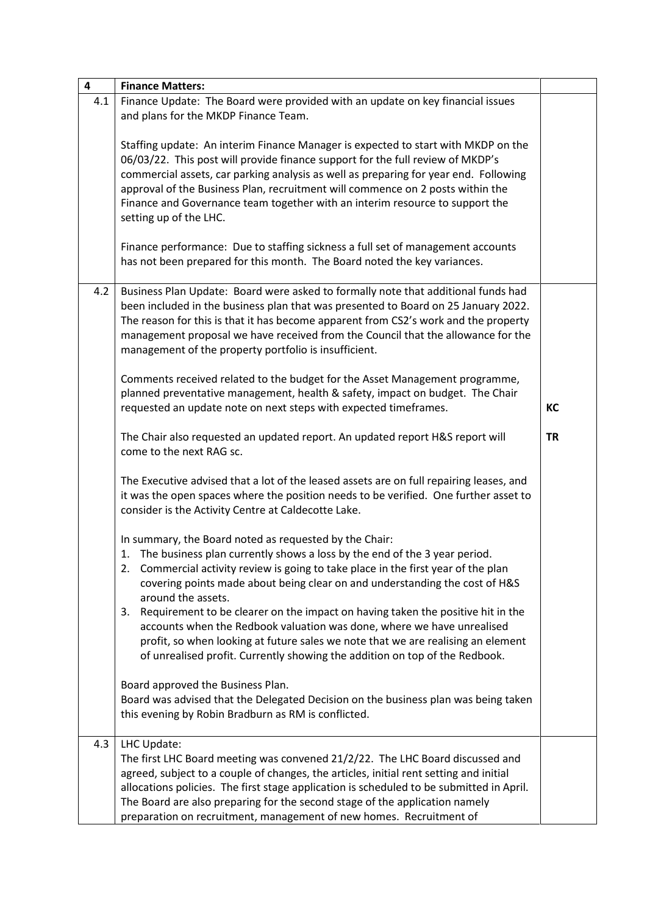| 4   | <b>Finance Matters:</b>                                                                                                                                                                                                                                                                                                                                                                                                                                                                                                                                                                                                                                                 |           |
|-----|-------------------------------------------------------------------------------------------------------------------------------------------------------------------------------------------------------------------------------------------------------------------------------------------------------------------------------------------------------------------------------------------------------------------------------------------------------------------------------------------------------------------------------------------------------------------------------------------------------------------------------------------------------------------------|-----------|
| 4.1 | Finance Update: The Board were provided with an update on key financial issues<br>and plans for the MKDP Finance Team.                                                                                                                                                                                                                                                                                                                                                                                                                                                                                                                                                  |           |
|     | Staffing update: An interim Finance Manager is expected to start with MKDP on the<br>06/03/22. This post will provide finance support for the full review of MKDP's<br>commercial assets, car parking analysis as well as preparing for year end. Following<br>approval of the Business Plan, recruitment will commence on 2 posts within the<br>Finance and Governance team together with an interim resource to support the<br>setting up of the LHC.                                                                                                                                                                                                                 |           |
|     | Finance performance: Due to staffing sickness a full set of management accounts<br>has not been prepared for this month. The Board noted the key variances.                                                                                                                                                                                                                                                                                                                                                                                                                                                                                                             |           |
| 4.2 | Business Plan Update: Board were asked to formally note that additional funds had<br>been included in the business plan that was presented to Board on 25 January 2022.<br>The reason for this is that it has become apparent from CS2's work and the property<br>management proposal we have received from the Council that the allowance for the<br>management of the property portfolio is insufficient.                                                                                                                                                                                                                                                             |           |
|     | Comments received related to the budget for the Asset Management programme,<br>planned preventative management, health & safety, impact on budget. The Chair<br>requested an update note on next steps with expected timeframes.                                                                                                                                                                                                                                                                                                                                                                                                                                        | KC        |
|     | The Chair also requested an updated report. An updated report H&S report will<br>come to the next RAG sc.                                                                                                                                                                                                                                                                                                                                                                                                                                                                                                                                                               | <b>TR</b> |
|     | The Executive advised that a lot of the leased assets are on full repairing leases, and<br>it was the open spaces where the position needs to be verified. One further asset to<br>consider is the Activity Centre at Caldecotte Lake.                                                                                                                                                                                                                                                                                                                                                                                                                                  |           |
|     | In summary, the Board noted as requested by the Chair:<br>1. The business plan currently shows a loss by the end of the 3 year period.<br>2. Commercial activity review is going to take place in the first year of the plan<br>covering points made about being clear on and understanding the cost of H&S<br>around the assets.<br>Requirement to be clearer on the impact on having taken the positive hit in the<br>3.<br>accounts when the Redbook valuation was done, where we have unrealised<br>profit, so when looking at future sales we note that we are realising an element<br>of unrealised profit. Currently showing the addition on top of the Redbook. |           |
|     | Board approved the Business Plan.<br>Board was advised that the Delegated Decision on the business plan was being taken<br>this evening by Robin Bradburn as RM is conflicted.                                                                                                                                                                                                                                                                                                                                                                                                                                                                                          |           |
| 4.3 | LHC Update:<br>The first LHC Board meeting was convened 21/2/22. The LHC Board discussed and<br>agreed, subject to a couple of changes, the articles, initial rent setting and initial<br>allocations policies. The first stage application is scheduled to be submitted in April.<br>The Board are also preparing for the second stage of the application namely<br>preparation on recruitment, management of new homes. Recruitment of                                                                                                                                                                                                                                |           |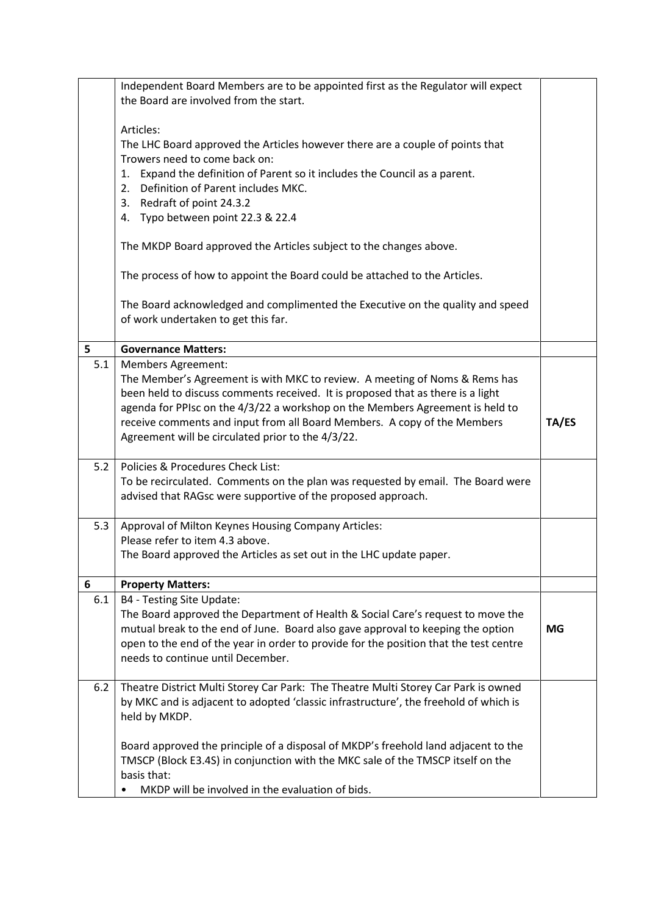|     | Independent Board Members are to be appointed first as the Regulator will expect<br>the Board are involved from the start.                                               |       |
|-----|--------------------------------------------------------------------------------------------------------------------------------------------------------------------------|-------|
|     |                                                                                                                                                                          |       |
|     | Articles:                                                                                                                                                                |       |
|     | The LHC Board approved the Articles however there are a couple of points that<br>Trowers need to come back on:                                                           |       |
|     | Expand the definition of Parent so it includes the Council as a parent.<br>1.                                                                                            |       |
|     | Definition of Parent includes MKC.<br>2.                                                                                                                                 |       |
|     | 3. Redraft of point 24.3.2                                                                                                                                               |       |
|     | 4. Typo between point 22.3 & 22.4                                                                                                                                        |       |
|     | The MKDP Board approved the Articles subject to the changes above.                                                                                                       |       |
|     | The process of how to appoint the Board could be attached to the Articles.                                                                                               |       |
|     | The Board acknowledged and complimented the Executive on the quality and speed                                                                                           |       |
|     | of work undertaken to get this far.                                                                                                                                      |       |
| 5   | <b>Governance Matters:</b>                                                                                                                                               |       |
| 5.1 | <b>Members Agreement:</b>                                                                                                                                                |       |
|     | The Member's Agreement is with MKC to review. A meeting of Noms & Rems has                                                                                               |       |
|     | been held to discuss comments received. It is proposed that as there is a light<br>agenda for PPIsc on the 4/3/22 a workshop on the Members Agreement is held to         |       |
|     | receive comments and input from all Board Members. A copy of the Members                                                                                                 | TA/ES |
|     | Agreement will be circulated prior to the 4/3/22.                                                                                                                        |       |
|     |                                                                                                                                                                          |       |
| 5.2 | Policies & Procedures Check List:                                                                                                                                        |       |
|     | To be recirculated. Comments on the plan was requested by email. The Board were<br>advised that RAGsc were supportive of the proposed approach.                          |       |
|     |                                                                                                                                                                          |       |
| 5.3 | Approval of Milton Keynes Housing Company Articles:                                                                                                                      |       |
|     | Please refer to item 4.3 above.                                                                                                                                          |       |
|     | The Board approved the Articles as set out in the LHC update paper.                                                                                                      |       |
| 6   | <b>Property Matters:</b>                                                                                                                                                 |       |
| 6.1 | B4 - Testing Site Update:                                                                                                                                                |       |
|     | The Board approved the Department of Health & Social Care's request to move the                                                                                          |       |
|     | mutual break to the end of June. Board also gave approval to keeping the option<br>open to the end of the year in order to provide for the position that the test centre | MG    |
|     | needs to continue until December.                                                                                                                                        |       |
|     |                                                                                                                                                                          |       |
| 6.2 | Theatre District Multi Storey Car Park: The Theatre Multi Storey Car Park is owned                                                                                       |       |
|     | by MKC and is adjacent to adopted 'classic infrastructure', the freehold of which is                                                                                     |       |
|     | held by MKDP.                                                                                                                                                            |       |
|     | Board approved the principle of a disposal of MKDP's freehold land adjacent to the                                                                                       |       |
|     | TMSCP (Block E3.4S) in conjunction with the MKC sale of the TMSCP itself on the                                                                                          |       |
|     | basis that:                                                                                                                                                              |       |
|     | MKDP will be involved in the evaluation of bids.                                                                                                                         |       |